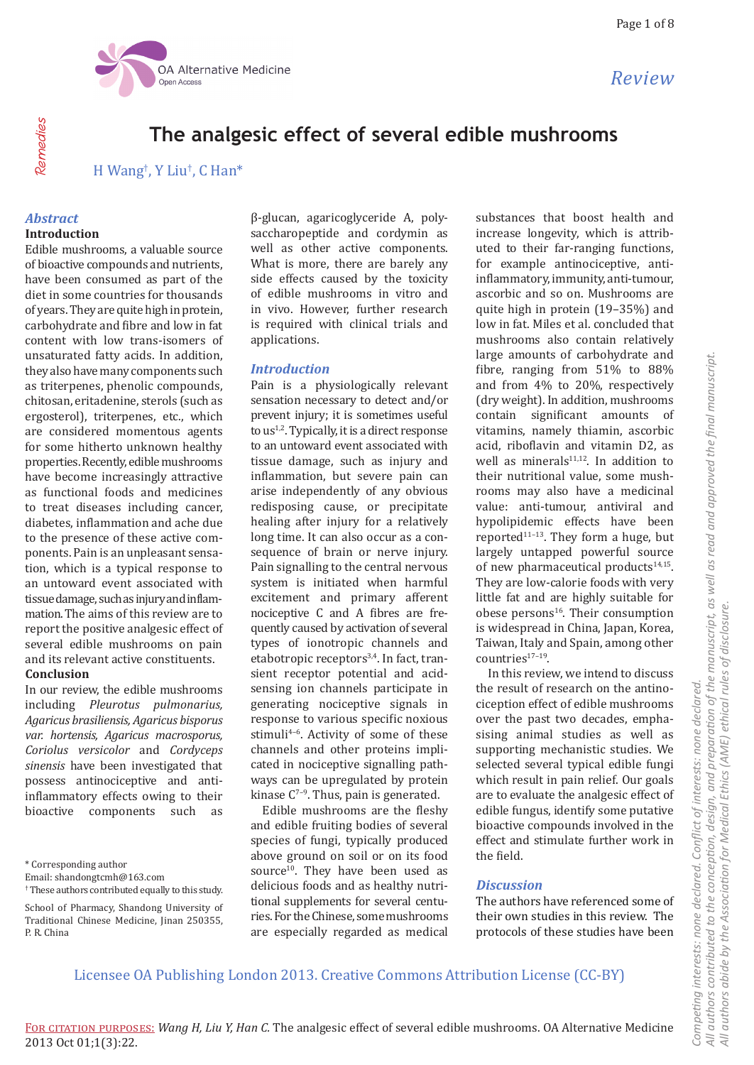

# **The analgesic effect of several edible mushrooms**

H Wang† , Y Liu† , C Han\*

## *Abstract* **Introduction**

Edible mushrooms, a valuable source of bioactive compounds and nutrients, have been consumed as part of the diet in some countries for thousands of years. They are quite high in protein, carbohydrate and fibre and low in fat content with low trans-isomers of unsaturated fatty acids. In addition, they also have many components such as triterpenes, phenolic compounds, chitosan, eritadenine, sterols (such as ergosterol), triterpenes, etc., which are considered momentous agents for some hitherto unknown healthy properties. Recently, edible mushrooms have become increasingly attractive as functional foods and medicines to treat diseases including cancer, diabetes, inflammation and ache due to the presence of these active components. Pain is an unpleasant sensation, which is a typical response to an untoward event associated with tissue damage, such as injury and inflammation. The aims of this review are to report the positive analgesic effect of several edible mushrooms on pain and its relevant active constituents. **Conclusion**

In our review, the edible mushrooms including *Pleurotus pulmonarius, Agaricus brasiliensis, Agaricus bisporus var. hortensis, Agaricus macrosporus, Coriolus versicolor* and *Cordyceps sinensis* have been investigated that possess antinociceptive and antiinflammatory effects owing to their bioactive components such as

\* Corresponding author

β-glucan, agaricoglyceride A, polysaccharopeptide and cordymin as well as other active components. What is more, there are barely any side effects caused by the toxicity of edible mushrooms in vitro and in vivo. However, further research is required with clinical trials and applications.

## *Introduction*

Pain is a physiologically relevant sensation necessary to detect and/or prevent injury; it is sometimes useful to  $us^{1,2}$ . Typically, it is a direct response to an untoward event associated with tissue damage, such as injury and inflammation, but severe pain can arise independently of any obvious redisposing cause, or precipitate healing after injury for a relatively long time. It can also occur as a consequence of brain or nerve injury. Pain signalling to the central nervous system is initiated when harmful excitement and primary afferent nociceptive C and A fibres are frequently caused by activation of several types of ionotropic channels and etabotropic receptors<sup>3,4</sup>. In fact, transient receptor potential and acidsensing ion channels participate in generating nociceptive signals in response to various specific noxious stimuli<sup>4-6</sup>. Activity of some of these channels and other proteins implicated in nociceptive signalling pathways can be upregulated by protein kinase  $C^{7-9}$ . Thus, pain is generated.

Edible mushrooms are the fleshy and edible fruiting bodies of several species of fungi, typically produced above ground on soil or on its food source<sup>10</sup>. They have been used as delicious foods and as healthy nutritional supplements for several centuries. For the Chinese, some mushrooms are especially regarded as medical substances that boost health and increase longevity, which is attributed to their far-ranging functions, for example antinociceptive, antiinflammatory, immunity, anti-tumour, ascorbic and so on. Mushrooms are quite high in protein (19–35%) and low in fat. Miles et al. concluded that mushrooms also contain relatively large amounts of carbohydrate and fibre, ranging from 51% to 88% and from 4% to 20%, respectively (dry weight). In addition, mushrooms contain significant amounts of vitamins, namely thiamin, ascorbic acid, riboflavin and vitamin D2, as well as minerals $11,12$ . In addition to their nutritional value, some mushrooms may also have a medicinal value: anti-tumour, antiviral and hypolipidemic effects have been reported $11-13$ . They form a huge, but largely untapped powerful source of new pharmaceutical products<sup>14,15</sup>. They are low-calorie foods with very little fat and are highly suitable for obese persons<sup>16</sup>. Their consumption is widespread in China, Japan, Korea, Taiwan, Italy and Spain, among other countries<sup>17-19</sup>.

In this review, we intend to discuss the result of research on the antinociception effect of edible mushrooms over the past two decades, emphasising animal studies as well as supporting mechanistic studies. We selected several typical edible fungi which result in pain relief. Our goals are to evaluate the analgesic effect of edible fungus, identify some putative bioactive compounds involved in the effect and stimulate further work in the field.

### *Discussion*

The authors have referenced some of their own studies in this review. The protocols of these studies have been

Licensee OA Publishing London 2013. Creative Commons Attribution License (CC-BY)

**Pemedies** Remedies

Email: shandongtcmh@163.com † These authors contributed equally to this study.

School of Pharmacy, Shandong University of Traditional Chinese Medicine, Jinan 250355, P. R. China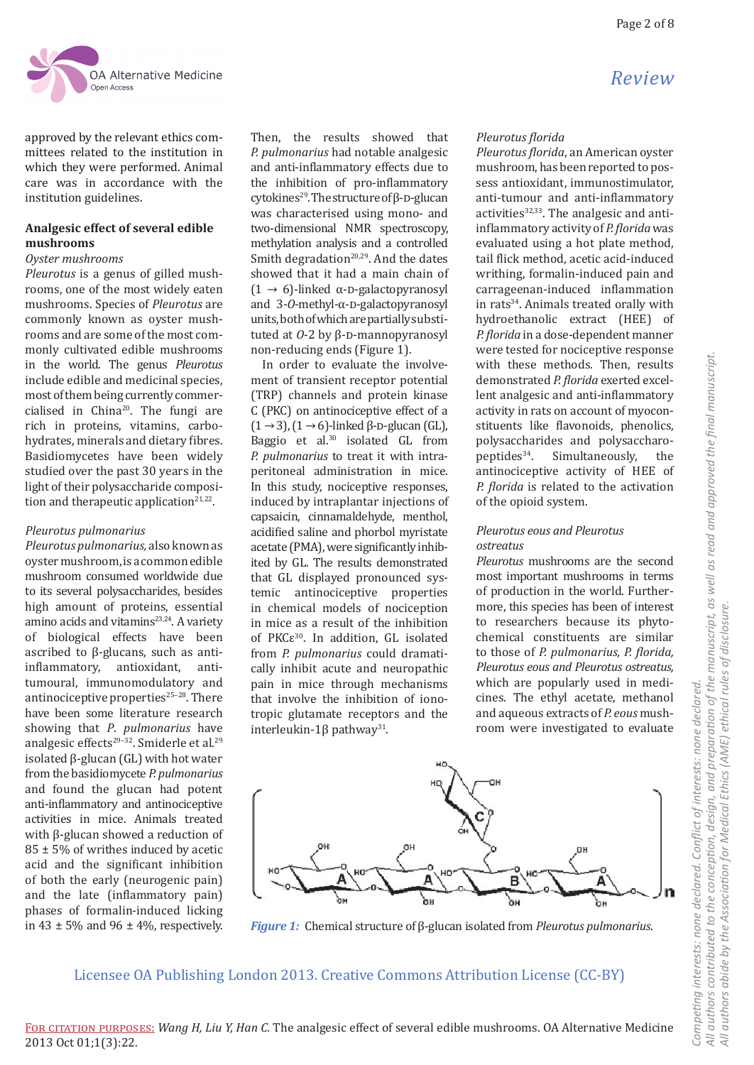

approved by the relevant ethics committees related to the institution in which they were performed. Animal care was in accordance with the institution guidelines.

### **Analgesic effect of several edible mushrooms**

### *Oyster mushrooms*

*Pleurotus* is a genus of gilled mushrooms, one of the most widely eaten mushrooms. Species of *Pleurotus* are commonly known as oyster mushrooms and are some of the most commonly cultivated edible mushrooms in the world. The genus *Pleurotus* include edible and medicinal species, most of them being currently commercialised in China<sup>20</sup>. The fungi are rich in proteins, vitamins, carbohydrates, minerals and dietary fibres. Basidiomycetes have been widely studied over the past 30 years in the light of their polysaccharide composition and therapeutic application $21,22$ .

### *Pleurotus pulmonarius*

*Pleurotus pulmonarius,* also known as oyster mushroom, is a common edible mushroom consumed worldwide due to its several polysaccharides, besides high amount of proteins, essential amino acids and vitamins $23,24$ . A variety of biological effects have been ascribed to β-glucans, such as antiinflammatory, antioxidant, antitumoural, immunomodulatory and antinociceptive properties $25-28$ . There have been some literature research showing that *P*. *pulmonarius* have analgesic effects<sup>29-32</sup>. Smiderle et al.<sup>29</sup> isolated β-glucan (GL) with hot water from the basidiomycete *P. pulmonarius* and found the glucan had potent anti-inflammatory and antinociceptive activities in mice. Animals treated with β-glucan showed a reduction of 85 ± 5% of writhes induced by acetic acid and the significant inhibition of both the early (neurogenic pain) and the late (inflammatory pain) phases of formalin-induced licking in 43  $\pm$  5% and 96  $\pm$  4%, respectively.

Then, the results showed that *P. pulmonarius* had notable analgesic and anti-inflammatory effects due to the inhibition of pro-inflammatory cytokines<sup>29</sup>. The structure of  $\beta$ -D-glucan was characterised using mono- and two-dimensional NMR spectroscopy, methylation analysis and a controlled Smith degradation $20,29$ . And the dates showed that it had a main chain of (1  $\rightarrow$  6)-linked α-D-galactopyranosyl and 3-*O*-methyl-α-D-galactopyranosyl units, both of which are partially substituted at *0*-2 by β-D-mannopyranosyl non-reducing ends (Figure 1).

In order to evaluate the involvement of transient receptor potential (TRP) channels and protein kinase C (PKC) on antinociceptive effect of a  $(1 \rightarrow 3)$ ,  $(1 \rightarrow 6)$ -linked β-D-glucan (GL), Baggio et al.<sup>30</sup> isolated GL from *P. pulmonarius* to treat it with intraperitoneal administration in mice. In this study, nociceptive responses, induced by intraplantar injections of capsaicin, cinnamaldehyde, menthol, acidified saline and phorbol myristate acetate (PMA), were significantly inhibited by GL. The results demonstrated that GL displayed pronounced systemic antinociceptive properties in chemical models of nociception in mice as a result of the inhibition of PKCε<sup>30</sup>. In addition, GL isolated from *P. pulmonarius* could dramatically inhibit acute and neuropathic pain in mice through mechanisms that involve the inhibition of ionotropic glutamate receptors and the interleukin-1β pathway<sup>31</sup>.

### *Pleurotus florida*

*Pleurotus florida*, an American oyster mushroom, has been reported to possess antioxidant, immunostimulator, anti-tumour and anti-inflammatory activities $32,33$ . The analgesic and antiinflammatory activity of *P. florida* was evaluated using a hot plate method, tail flick method, acetic acid-induced writhing, formalin-induced pain and carrageenan-induced inflammation in rats<sup>34</sup>. Animals treated orally with hydroethanolic extract (HEE) of *P. florida* in a dose-dependent manner were tested for nociceptive response with these methods. Then, results demonstrated *P. florida* exerted excellent analgesic and anti-inflammatory activity in rats on account of myoconstituents like flavonoids, phenolics, polysaccharides and polysaccharo-<br>peptides<sup>34</sup>. Simultaneously, the Simultaneously, antinociceptive activity of HEE of *P. florida* is related to the activation of the opioid system.

### *Pleurotus eous and Pleurotus ostreatus*

*Pleurotus* mushrooms are the second most important mushrooms in terms of production in the world. Furthermore, this species has been of interest to researchers because its phytochemical constituents are similar to those of *P. pulmonarius, P. florida, Pleurotus eous and Pleurotus ostreatus,* which are popularly used in medicines. The ethyl acetate, methanol and aqueous extracts of *P. eous* mushroom were investigated to evaluate



*Figure 1:* Chemical structure of β-glucan isolated from *Pleurotus pulmonarius*.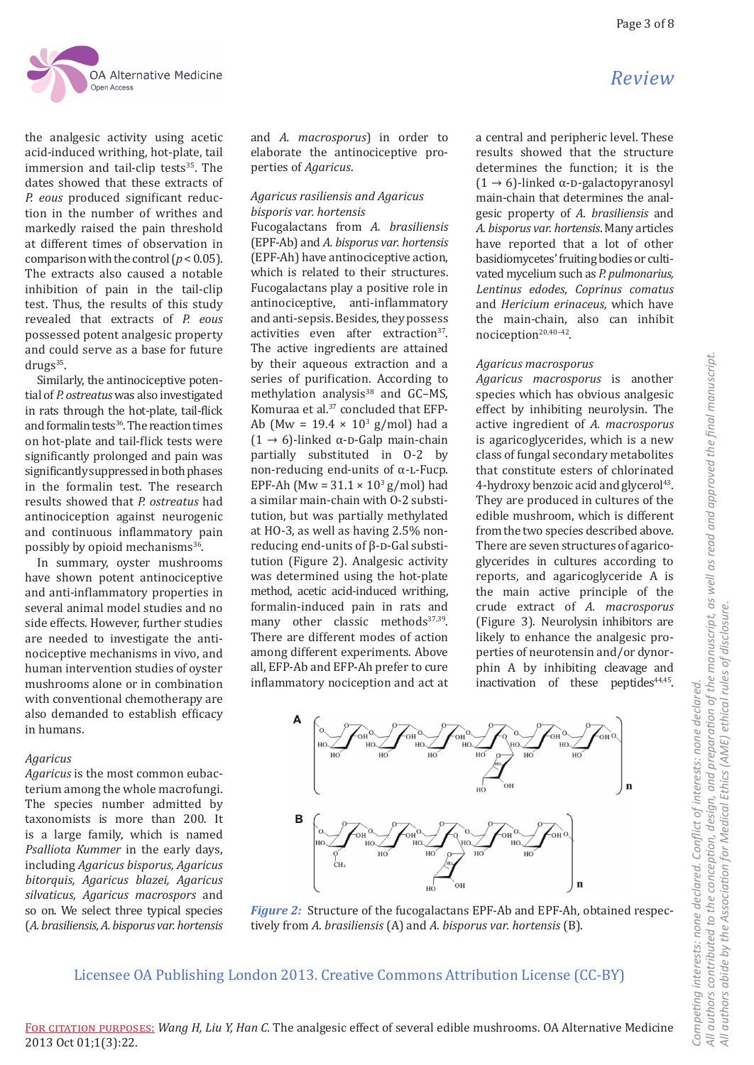the analgesic activity using acetic acid-induced writhing, hot-plate, tail immersion and tail-clip tests $35$ . The dates showed that these extracts of *P. eous* produced significant reduction in the number of writhes and markedly raised the pain threshold at different times of observation in comparison with the control  $(p < 0.05)$ . The extracts also caused a notable inhibition of pain in the tail-clip test. Thus, the results of this study revealed that extracts of *P. eous* possessed potent analgesic property and could serve as a base for future  $drugs<sup>35</sup>$ .

Similarly, the antinociceptive potential of *P. ostreatus* was also investigated in rats through the hot-plate, tail-flick and formalin tests<sup>36</sup>. The reaction times on hot-plate and tail-flick tests were significantly prolonged and pain was significantly suppressed in both phases in the formalin test. The research results showed that *P. ostreatus* had antinociception against neurogenic and continuous inflammatory pain possibly by opioid mechanisms<sup>36</sup>.

In summary, oyster mushrooms have shown potent antinociceptive and anti-inflammatory properties in several animal model studies and no side effects. However, further studies are needed to investigate the antinociceptive mechanisms in vivo, and human intervention studies of oyster mushrooms alone or in combination with conventional chemotherapy are also demanded to establish efficacy in humans.

### *Agaricus*

*Agaricus* is the most common eubacterium among the whole macrofungi. The species number admitted by taxonomists is more than 200. It is a large family, which is named *Psalliota Kummer* in the early days, including *Agaricus bisporus, Agaricus bitorquis, Agaricus blazei, Agaricus silvaticus, Agaricus macrospors* and so on. We select three typical species (*A. brasiliensis, A. bisporus var. hortensis* 

and *A. macrosporus*) in order to elaborate the antinociceptive properties of *Agaricus*.

### *Agaricus rasiliensis and Agaricus bisporis var. hortensis*

Fucogalactans from *A. brasiliensis* (EPF-Ab) and *A. bisporus var. hortensis* (EPF-Ah) have antinociceptive action, which is related to their structures. Fucogalactans play a positive role in antinociceptive, anti-inflammatory and anti-sepsis. Besides, they possess activities even after extraction<sup>37</sup>. The active ingredients are attained by their aqueous extraction and a series of purification. According to methylation analysis $38$  and GC-MS, Komuraa et al.<sup>37</sup> concluded that EFP-Ab (Mw =  $19.4 \times 10^3$  g/mol) had a  $(1 \rightarrow 6)$ -linked α-D-Galp main-chain partially substituted in O-2 by non-reducing end-units of  $α$ -L-Fucp. EPF-Ah (Mw =  $31.1 \times 10^3$  g/mol) had a similar main-chain with O-2 substitution, but was partially methylated at HO-3, as well as having 2.5% nonreducing end-units of  $β$ -D-Gal substitution (Figure 2). Analgesic activity was determined using the hot-plate method, acetic acid-induced writhing, formalin-induced pain in rats and many other classic methods<sup>37,39</sup>. There are different modes of action among different experiments. Above all, EFP-Ab and EFP-Ah prefer to cure inflammatory nociception and act at

# *Review*

a central and peripheric level. These results showed that the structure determines the function; it is the (1  $\rightarrow$  6)-linked α-D-galactopyranosyl main-chain that determines the analgesic property of *A*. *brasiliensis* and *A. bisporus var. hortensis*. Many articles have reported that a lot of other basidiomycetes' fruiting bodies or cultivated mycelium such as *P. pulmonarius, Lentinus edodes, Coprinus comatus*  and *Hericium erinaceus,* which have the main-chain, also can inhibit nociception<sup>20,40-42</sup>.

## *Agaricus macrosporus*

*Agaricus macrosporus* is another species which has obvious analgesic effect by inhibiting neurolysin. The active ingredient of *A. macrosporus* is agaricoglycerides, which is a new class of fungal secondary metabolites that constitute esters of chlorinated 4-hydroxy benzoic acid and glycerol<sup>43</sup>. They are produced in cultures of the edible mushroom, which is different from the two species described above. There are seven structures of agaricoglycerides in cultures according to reports, and agaricoglyceride A is the main active principle of the crude extract of *A. macrosporus* (Figure 3). Neurolysin inhibitors are likely to enhance the analgesic properties of neurotensin and/or dynorphin A by inhibiting cleavage and inactivation of these peptides<sup>44,45</sup>.



*Figure 2:* Structure of the fucogalactans EPF-Ab and EPF-Ah, obtained respectively from *A. brasiliensis* (A) and *A. bisporus var. hortensis* (B).

## Licensee OA Publishing London 2013. Creative Commons Attribution License (CC-BY)

All authors contributed to the conception, design, and preparation of the manuscript, as well as read and approved the final manuscript. *All authors contributed to the conception, design, and preparation of the manuscript, as well as read and approved the final manuscript.* All authors abide by the Association for Medical Ethics (AME) ethical rules of disclosure. *All authors abide by the Association for Medical Ethics (AME) ethical rules of disclosure.* Competing interests: none declared. Conflict of interests: none declared. *Competing interests: none declared. Conflict of interests: none declared.*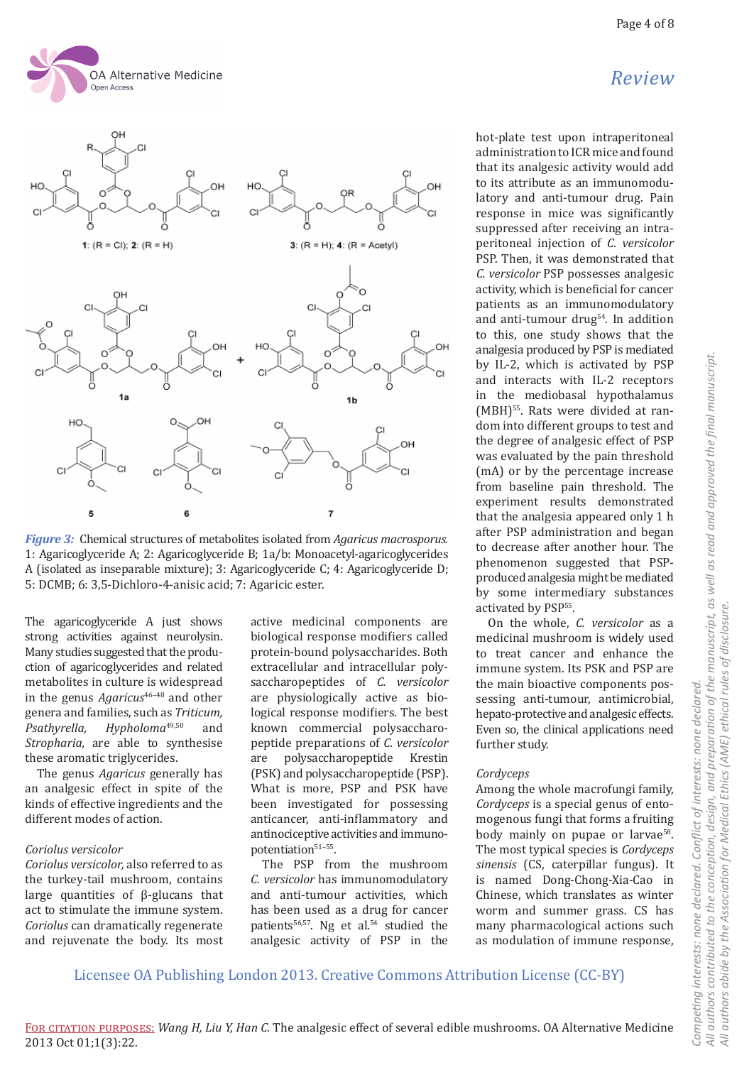





The agaricoglyceride A just shows strong activities against neurolysin. Many studies suggested that the production of agaricoglycerides and related metabolites in culture is widespread in the genus *Agaricus*<sup>46-48</sup> and other genera and families, such as *Triticum, Hypholoma*<sup>49,50</sup> *Stropharia,* are able to synthesise these aromatic triglycerides.

The genus *Agaricus* generally has an analgesic effect in spite of the kinds of effective ingredients and the different modes of action.

#### *Coriolus versicolor*

*Coriolus versicolor,* also referred to as the turkey-tail mushroom, contains large quantities of β-glucans that act to stimulate the immune system. *Coriolus* can dramatically regenerate and rejuvenate the body. Its most active medicinal components are biological response modifiers called protein-bound polysaccharides. Both extracellular and intracellular polysaccharopeptides of *C. versicolor* are physiologically active as biological response modifiers. The best known commercial polysaccharopeptide preparations of *C. versicolor* are polysaccharopeptide Krestin (PSK) and polysaccharopeptide (PSP). What is more, PSP and PSK have been investigated for possessing anticancer, anti-inflammatory and antinociceptive activities and immunopotentiation<sup>51-55</sup>.

The PSP from the mushroom *C. versicolor* has immunomodulatory and anti-tumour activities, which has been used as a drug for cancer patients<sup>56,57</sup>. Ng et al.<sup>54</sup> studied the analgesic activity of PSP in the hot-plate test upon intraperitoneal administration to ICR mice and found that its analgesic activity would add to its attribute as an immunomodulatory and anti-tumour drug. Pain response in mice was significantly suppressed after receiving an intraperitoneal injection of *C. versicolor* PSP. Then, it was demonstrated that *C. versicolor* PSP possesses analgesic activity, which is beneficial for cancer patients as an immunomodulatory and anti-tumour drug54. In addition to this, one study shows that the analgesia produced by PSP is mediated by IL-2, which is activated by PSP and interacts with IL-2 receptors in the mediobasal hypothalamus (MBH)<sup>55</sup>. Rats were divided at random into different groups to test and the degree of analgesic effect of PSP was evaluated by the pain threshold (mA) or by the percentage increase from baseline pain threshold. The experiment results demonstrated that the analgesia appeared only 1 h after PSP administration and began to decrease after another hour. The phenomenon suggested that PSPproduced analgesia might be mediated by some intermediary substances activated by PSP<sup>55</sup>.

On the whole, *C. versicolor* as a medicinal mushroom is widely used to treat cancer and enhance the immune system. Its PSK and PSP are the main bioactive components possessing anti-tumour, antimicrobial, hepato-protective and analgesic effects. Even so, the clinical applications need further study.

#### *Cordyceps*

Among the whole macrofungi family, *Cordyceps* is a special genus of entomogenous fungi that forms a fruiting body mainly on pupae or larvae<sup>58</sup>. The most typical species is *Cordyceps sinensis* (CS, caterpillar fungus). It is named Dong-Chong-Xia-Cao in Chinese, which translates as winter worm and summer grass. CS has many pharmacological actions such as modulation of immune response,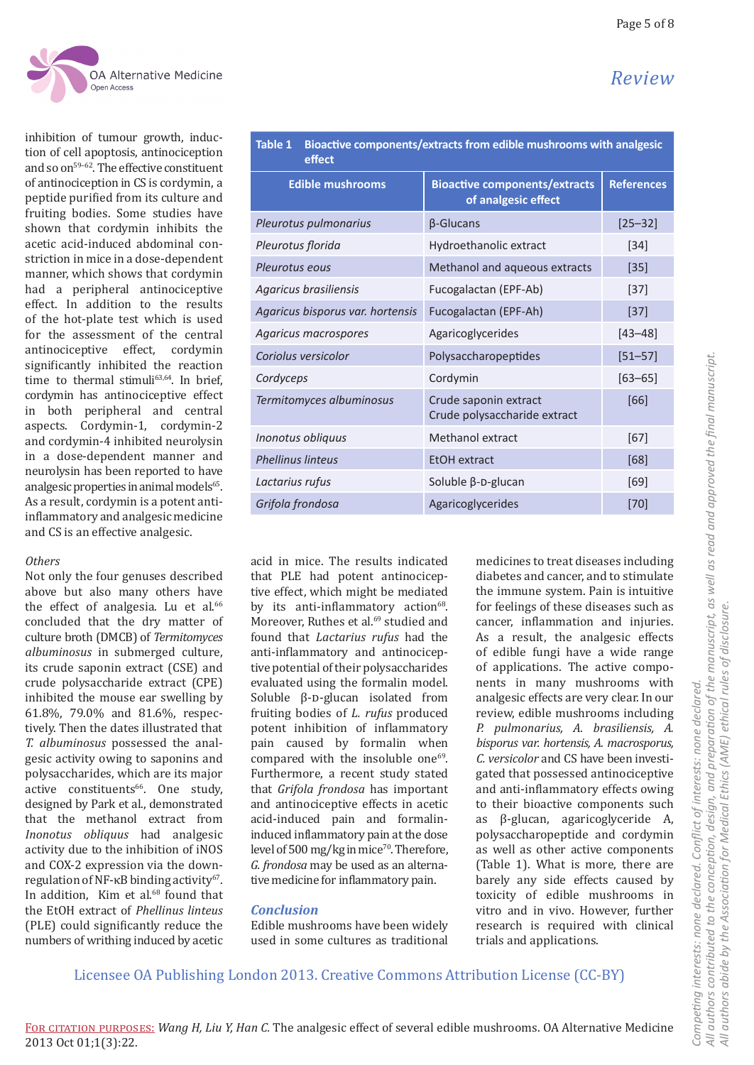

inhibition of tumour growth, induction of cell apoptosis, antinociception and so on<sup>59-62</sup>. The effective constituent of antinociception in CS is cordymin, a peptide purified from its culture and fruiting bodies. Some studies have shown that cordymin inhibits the acetic acid-induced abdominal constriction in mice in a dose-dependent manner, which shows that cordymin had a peripheral antinociceptive effect. In addition to the results of the hot-plate test which is used for the assessment of the central antinociceptive effect, cordymin significantly inhibited the reaction time to thermal stimuli<sup>63,64</sup>. In brief, cordymin has antinociceptive effect in both peripheral and central aspects. Cordymin-1, cordymin-2 and cordymin-4 inhibited neurolysin in a dose-dependent manner and neurolysin has been reported to have analgesic properties in animal models $65$ . As a result, cordymin is a potent antiinflammatory and analgesic medicine and CS is an effective analgesic.

### *Others*

Not only the four genuses described above but also many others have the effect of analgesia. Lu et al.<sup>66</sup> concluded that the dry matter of culture broth (DMCB) of *Termitomyces albuminosus* in submerged culture, its crude saponin extract (CSE) and crude polysaccharide extract (CPE) inhibited the mouse ear swelling by 61.8%, 79.0% and 81.6%, respectively. Then the dates illustrated that *T. albuminosus* possessed the analgesic activity owing to saponins and polysaccharides, which are its major active constituents<sup>66</sup>. One study, designed by Park et al., demonstrated that the methanol extract from *Inonotus obliquus* had analgesic activity due to the inhibition of iNOS and COX-2 expression via the downregulation of NF-κB binding activity<sup>67</sup>. In addition. Kim et al. $68$  found that the EtOH extract of *Phellinus linteus* (PLE) could significantly reduce the numbers of writhing induced by acetic

| Bioactive components/extracts from edible mushrooms with analgesic<br><b>Table 1</b><br>effect |                                                             |                   |
|------------------------------------------------------------------------------------------------|-------------------------------------------------------------|-------------------|
| <b>Edible mushrooms</b>                                                                        | <b>Bioactive components/extracts</b><br>of analgesic effect | <b>References</b> |
| Pleurotus pulmonarius                                                                          | $\beta$ -Glucans                                            | $[25 - 32]$       |
| Pleurotus florida                                                                              | Hydroethanolic extract                                      | $[34]$            |
| Pleurotus eous                                                                                 | Methanol and aqueous extracts                               | [35]              |
| Agaricus brasiliensis                                                                          | Fucogalactan (EPF-Ab)                                       | $[37]$            |
| Agaricus bisporus var. hortensis                                                               | Fucogalactan (EPF-Ah)                                       | $[37]$            |
| Agaricus macrospores                                                                           | Agaricoglycerides                                           | $[43 - 48]$       |
| Coriolus versicolor                                                                            | Polysaccharopeptides                                        | $[51 - 57]$       |
| Cordyceps                                                                                      | Cordymin                                                    | $[63 - 65]$       |
| Termitomyces albuminosus                                                                       | Crude saponin extract<br>Crude polysaccharide extract       | [66]              |
| Inonotus obliquus                                                                              | Methanol extract                                            | [67]              |
| <b>Phellinus linteus</b>                                                                       | EtOH extract                                                | [68]              |

*Lactarius rufus* Soluble β-D-glucan [69] **Grifola frondosa Agaricoglycerides Agaricoglycerides** [70]

acid in mice. The results indicated that PLE had potent antinociceptive effect, which might be mediated by its anti-inflammatory action<sup>68</sup>. Moreover, Ruthes et al.<sup>69</sup> studied and found that *Lactarius rufus* had the anti-inflammatory and antinociceptive potential of their polysaccharides evaluated using the formalin model. Soluble  $\beta$ -D-glucan isolated from fruiting bodies of *L. rufus* produced potent inhibition of inflammatory pain caused by formalin when compared with the insoluble one<sup>69</sup>. Furthermore, a recent study stated that *Grifola frondosa* has important and antinociceptive effects in acetic acid-induced pain and formalininduced inflammatory pain at the dose level of 500 mg/kg in mice<sup>70</sup>. Therefore, *G. frondosa* may be used as an alternative medicine for inflammatory pain.

## *Conclusion*

Edible mushrooms have been widely used in some cultures as traditional

medicines to treat diseases including diabetes and cancer, and to stimulate the immune system. Pain is intuitive for feelings of these diseases such as cancer, inflammation and injuries. As a result, the analgesic effects of edible fungi have a wide range of applications. The active components in many mushrooms with analgesic effects are very clear. In our review, edible mushrooms including *P. pulmonarius, A. brasiliensis, A. bisporus var. hortensis, A. macrosporus, C. versicolor* and CS have been investigated that possessed antinociceptive and anti-inflammatory effects owing to their bioactive components such<br>as  $\beta$ -glucan agaricoglyceride A β-glucan, agaricoglyceride A, polysaccharopeptide and cordymin as well as other active components (Table 1). What is more, there are barely any side effects caused by toxicity of edible mushrooms in vitro and in vivo. However, further research is required with clinical trials and applications.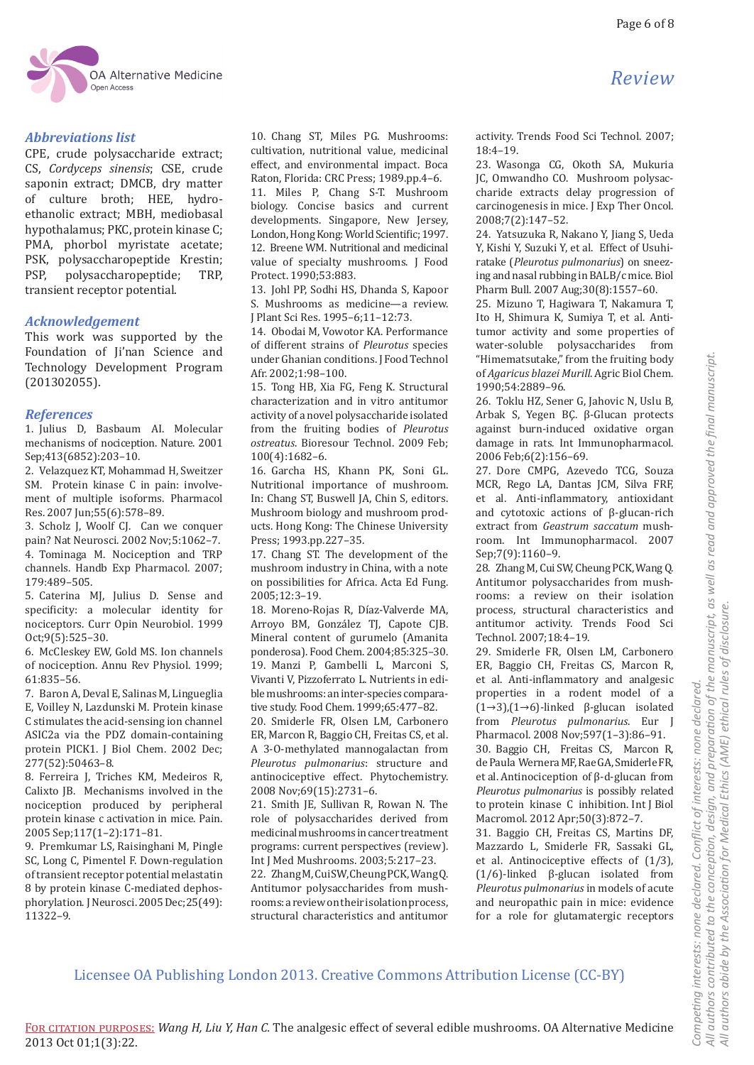

# *Abbreviations list*

CPE, crude polysaccharide extract; CS, *Cordyceps sinensis*; CSE, crude saponin extract; DMCB, dry matter of culture broth; HEE, hydroethanolic extract; MBH, mediobasal hypothalamus; PKC, protein kinase C; PMA, phorbol myristate acetate; PSK, polysaccharopeptide Krestin;<br>PSP, polysaccharopeptide; TRP, polysaccharopeptide; transient receptor potential.

# *Acknowledgement*

This work was supported by the Foundation of Ji'nan Science and Technology Development Program (201302055).

# *References*

1. Julius D, Basbaum AI. Molecular mechanisms of nociception. Nature. 2001 Sep;413(6852):203–10.

2. Velazquez KT, Mohammad H, Sweitzer SM. Protein kinase C in pain: involvement of multiple isoforms. Pharmacol Res. 2007 Jun;55(6):578–89.

3. Scholz J, Woolf CJ. Can we conquer pain? Nat Neurosci. 2002 Nov;5:1062–7. 4. Tominaga M. Nociception and TRP channels. Handb Exp Pharmacol. 2007; 179:489–505.

5. Caterina MJ, Julius D. Sense and specificity: a molecular identity for nociceptors. Curr Opin Neurobiol. 1999 Oct;9(5):525–30.

6. McCleskey EW, Gold MS. Ion channels of nociception. Annu Rev Physiol. 1999; 61:835–56.

7. Baron A, Deval E, Salinas M, Lingueglia E, Voilley N, Lazdunski M. Protein kinase C stimulates the acid-sensing ion channel ASIC2a via the PDZ domain-containing protein PICK1. J Biol Chem. 2002 Dec; 277(52):50463–8.

8. Ferreira J, Triches KM, Medeiros R, Calixto JB. Mechanisms involved in the nociception produced by peripheral protein kinase c activation in mice. Pain. 2005 Sep;117(1–2):171–81.

9. Premkumar LS, Raisinghani M, Pingle SC, Long C, Pimentel F. Down-regulation of transient receptor potential melastatin 8 by protein kinase C-mediated dephosphorylation. J Neurosci. 2005 Dec;25(49): 11322–9.

10. Chang ST, Miles PG. Mushrooms: cultivation, nutritional value, medicinal effect, and environmental impact. Boca Raton, Florida: CRC Press; 1989.pp.4–6.

11. Miles P, Chang S-T. Mushroom biology. Concise basics and current developments. Singapore, New Jersey, London, Hong Kong: World Scientific; 1997. 12. Breene WM. Nutritional and medicinal value of specialty mushrooms. J Food Protect. 1990;53:883.

13. Johl PP, Sodhi HS, Dhanda S, Kapoor S. Mushrooms as medicine—a review. J Plant Sci Res. 1995–6;11–12:73.

14. Obodai M, Vowotor KA. Performance of different strains of *Pleurotus* species under Ghanian conditions. J Food Technol Afr. 2002;1:98–100.

15. Tong HB, Xia FG, Feng K. Structural characterization and in vitro antitumor activity of a novel polysaccharide isolated from the fruiting bodies of *Pleurotus ostreatus*. Bioresour Technol. 2009 Feb; 100(4):1682–6.

16. Garcha HS, Khann PK, Soni GL. Nutritional importance of mushroom. In: Chang ST, Buswell JA, Chin S, editors. Mushroom biology and mushroom products. Hong Kong: The Chinese University Press; 1993.pp.227–35.

17. Chang ST. The development of the mushroom industry in China, with a note on possibilities for Africa. Acta Ed Fung. 2005;12:3–19.

18. Moreno-Rojas R, Díaz-Valverde MA, Arroyo BM, González TJ, Capote CJB. Mineral content of gurumelo (Amanita ponderosa). Food Chem. 2004;85:325–30. 19. Manzi P, Gambelli L, Marconi S, Vivanti V, Pizzoferrato L. Nutrients in edible mushrooms: an inter-species compara-

tive study. Food Chem. 1999;65:477–82. 20. Smiderle FR, Olsen LM, Carbonero ER, Marcon R, Baggio CH, Freitas CS, et al. A 3-O-methylated mannogalactan from *Pleurotus pulmonarius*: structure and antinociceptive effect. Phytochemistry. 2008 Nov;69(15):2731–6.

21. Smith JE, Sullivan R, Rowan N. The role of polysaccharides derived from medicinal mushrooms in cancer treatment programs: current perspectives (review). Int J Med Mushrooms. 2003;5:217–23.

22. Zhang M, Cui SW, Cheung PCK, Wang Q. Antitumor polysaccharides from mushrooms: a review on their isolation process, structural characteristics and antitumor

activity. Trends Food Sci Technol. 2007; 18:4–19.

23. Wasonga CG, Okoth SA, Mukuria JC, Omwandho CO. Mushroom polysaccharide extracts delay progression of carcinogenesis in mice. J Exp Ther Oncol. 2008;7(2):147–52.

24. Yatsuzuka R, Nakano Y, Jiang S, Ueda Y, Kishi Y, Suzuki Y, et al. Effect of Usuhiratake (*Pleurotus pulmonarius*) on sneezing and nasal rubbing in BALB/c mice. Biol Pharm Bull. 2007 Aug;30(8):1557–60.

25. Mizuno T, Hagiwara T, Nakamura T, Ito H, Shimura K, Sumiya T, et al. Antitumor activity and some properties of water-soluble polysaccharides from "Himematsutake," from the fruiting body of *Agaricus blazei Murill*. Agric Biol Chem. 1990;54:2889–96.

26. Toklu HZ, Sener G, Jahovic N, Uslu B, Arbak S, Yegen BÇ. β-Glucan protects against burn-induced oxidative organ damage in rats. Int Immunopharmacol. 2006 Feb;6(2):156–69.

27. Dore CMPG, Azevedo TCG, Souza MCR, Rego LA, Dantas JCM, Silva FRF, et al. Anti-inflammatory, antioxidant and cytotoxic actions of β-glucan-rich extract from *Geastrum saccatum* mushroom. Int Immunopharmacol. 2007 Sep;7(9):1160–9.

28. Zhang M, Cui SW, Cheung PCK, Wang Q. Antitumor polysaccharides from mushrooms: a review on their isolation process, structural characteristics and antitumor activity. Trends Food Sci Technol. 2007;18:4–19.

29. Smiderle FR, Olsen LM, Carbonero ER, Baggio CH, Freitas CS, Marcon R, et al. Anti-inflammatory and analgesic properties in a rodent model of a (1→3),(1→6)-linked β-glucan isolated from *Pleurotus pulmonarius*. Eur J Pharmacol. 2008 Nov;597(1–3):86–91. 30. Baggio CH, Freitas CS, Marcon R, de Paula Wernera MF, Rae GA, Smiderle FR, et al. Antinociception of β-d-glucan from *Pleurotus pulmonarius* is possibly related to protein kinase C inhibition. Int J Biol Macromol. 2012 Apr;50(3):872–7.

31. Baggio CH, Freitas CS, Martins DF, Mazzardo L, Smiderle FR, Sassaki GL, et al. Antinociceptive effects of (1/3), (1/6)-linked β-glucan isolated from *Pleurotus pulmonarius* in models of acute and neuropathic pain in mice: evidence for a role for glutamatergic receptors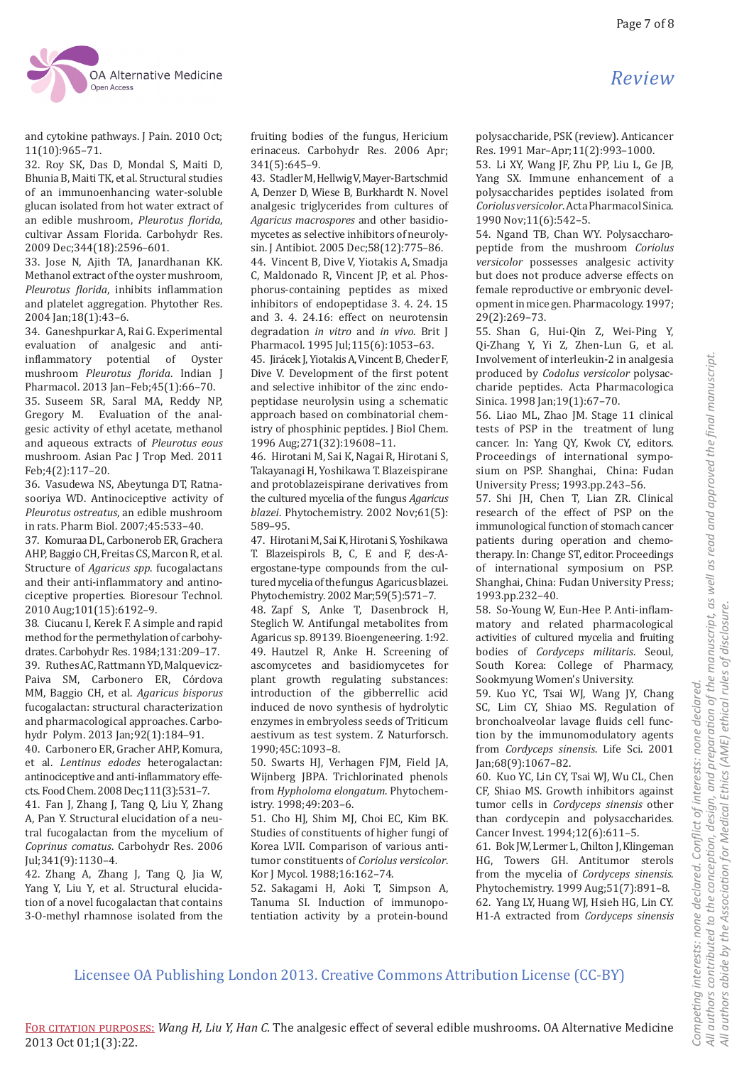

and cytokine pathways. J Pain. 2010 Oct; 11(10):965–71.

32. Roy SK, Das D, Mondal S, Maiti D, Bhunia B, Maiti TK, et al. Structural studies of an immunoenhancing water-soluble glucan isolated from hot water extract of an edible mushroom, *Pleurotus florida*, cultivar Assam Florida. Carbohydr Res. 2009 Dec;344(18):2596–601.

33. Jose N, Ajith TA, Janardhanan KK. Methanol extract of the oyster mushroom, *Pleurotus florida*, inhibits inflammation and platelet aggregation. Phytother Res. 2004 Jan;18(1):43–6.

34. Ganeshpurkar A, Rai G. Experimental evaluation of analgesic and antiinflammatory potential of Oyster mushroom *Pleurotus florida*. Indian J Pharmacol. 2013 Jan–Feb;45(1):66–70. 35. Suseem SR, Saral MA, Reddy NP, Gregory M. Evaluation of the analgesic activity of ethyl acetate, methanol and aqueous extracts of *Pleurotus eous* mushroom. Asian Pac J Trop Med. 2011 Feb;4(2):117–20.

36. Vasudewa NS, Abeytunga DT, Ratnasooriya WD. Antinociceptive activity of *Pleurotus ostreatus*, an edible mushroom in rats. Pharm Biol. 2007;45:533–40.

37. Komuraa DL, Carbonerob ER, Grachera AHP, Baggio CH, Freitas CS, Marcon R, et al. Structure of *Agaricus spp*. fucogalactans and their anti-inflammatory and antinociceptive properties. Bioresour Technol. 2010 Aug;101(15):6192–9.

38. Ciucanu I, Kerek F. A simple and rapid method for the permethylation of carbohydrates. Carbohydr Res. 1984;131:209–17. 39. Ruthes AC, Rattmann YD, Malquevicz-Paiva SM, Carbonero ER, Córdova MM, Baggio CH, et al. *Agaricus bisporus* fucogalactan: structural characterization and pharmacological approaches. Carbohydr Polym. 2013 Jan;92(1):184–91.

40. Carbonero ER, Gracher AHP, Komura, et al. *Lentinus edodes* heterogalactan: antinociceptive and anti-inflammatory effects. Food Chem. 2008 Dec;111(3):531–7.

41. Fan J, Zhang J, Tang Q, Liu Y, Zhang A, Pan Y. Structural elucidation of a neutral fucogalactan from the mycelium of *Coprinus comatus*. Carbohydr Res. 2006 Jul;341(9):1130–4.

42. Zhang A, Zhang J, Tang Q, Jia W, Yang Y, Liu Y, et al. Structural elucidation of a novel fucogalactan that contains 3-O-methyl rhamnose isolated from the fruiting bodies of the fungus, Hericium erinaceus. Carbohydr Res. 2006 Apr; 341(5):645–9.

43. Stadler M, Hellwig V, Mayer-Bartschmid A, Denzer D, Wiese B, Burkhardt N. Novel analgesic triglycerides from cultures of *Agaricus macrospores* and other basidiomycetes as selective inhibitors of neurolysin. J Antibiot. 2005 Dec;58(12):775–86.

44. Vincent B, Dive V, Yiotakis A, Smadja C, Maldonado R, Vincent JP, et al. Phosphorus-containing peptides as mixed inhibitors of endopeptidase 3. 4. 24. 15 and 3. 4. 24.16: effect on neurotensin degradation *in vitro* and *in vivo*. Brit J Pharmacol. 1995 Jul;115(6):1053–63.

45. Jirácek J, Yiotakis A, Vincent B, Checler F, Dive V. Development of the first potent and selective inhibitor of the zinc endopeptidase neurolysin using a schematic approach based on combinatorial chemistry of phosphinic peptides. J Biol Chem. 1996 Aug;271(32):19608–11.

46. Hirotani M, Sai K, Nagai R, Hirotani S, Takayanagi H, Yoshikawa T. Blazeispirane and protoblazeispirane derivatives from the cultured mycelia of the fungus *Agaricus blazei*. Phytochemistry. 2002 Nov;61(5): 589–95.

47. Hirotani M, Sai K, Hirotani S, Yoshikawa T. Blazeispirols B, C, E and F, des-Aergostane-type compounds from the cultured mycelia of the fungus Agaricus blazei. Phytochemistry. 2002 Mar;59(5):571–7.

48. Zapf S, Anke T, Dasenbrock H, Steglich W. Antifungal metabolites from Agaricus sp. 89139. Bioengeneering. 1:92. 49. Hautzel R, Anke H. Screening of ascomycetes and basidiomycetes for plant growth regulating substances: introduction of the gibberrellic acid induced de novo synthesis of hydrolytic enzymes in embryoless seeds of Triticum aestivum as test system. Z Naturforsch. 1990;45C:1093–8.

50. Swarts HJ, Verhagen FJM, Field JA, Wijnberg JBPA. Trichlorinated phenols from *Hypholoma elongatum*. Phytochemistry. 1998;49:203–6.

51. Cho HJ, Shim MJ, Choi EC, Kim BK. Studies of constituents of higher fungi of Korea LVII. Comparison of various antitumor constituents of *Coriolus versicolor*. Kor J Mycol. 1988;16:162–74.

52. Sakagami H, Aoki T, Simpson A, Tanuma SI. Induction of immunopotentiation activity by a protein-bound polysaccharide, PSK (review). Anticancer Res. 1991 Mar–Apr;11(2):993–1000.

53. Li XY, Wang JF, Zhu PP, Liu L, Ge JB, Yang SX. Immune enhancement of a polysaccharides peptides isolated from *Coriolus versicolor*. Acta Pharmacol Sinica. 1990 Nov;11(6):542–5.

54. Ngand TB, Chan WY. Polysaccharopeptide from the mushroom *Coriolus versicolor* possesses analgesic activity but does not produce adverse effects on female reproductive or embryonic development in mice gen. Pharmacology. 1997; 29(2):269–73.

55. Shan G, Hui-Qin Z, Wei-Ping Y, Qi-Zhang Y, Yi Z, Zhen-Lun G, et al. Involvement of interleukin-2 in analgesia produced by *Codolus versicolor* polysaccharide peptides. Acta Pharmacologica Sinica. 1998 Jan; 19(1): 67-70.

56. Liao ML, Zhao JM. Stage 11 clinical tests of PSP in the treatment of lung cancer. In: Yang QY, Kwok CY, editors. Proceedings of international symposium on PSP. Shanghai, China: Fudan University Press; 1993.pp.243–56.

57. Shi JH, Chen T, Lian ZR. Clinical research of the effect of PSP on the immunological function of stomach cancer patients during operation and chemotherapy. In: Change ST, editor. Proceedings of international symposium on PSP. Shanghai, China: Fudan University Press; 1993.pp.232–40.

58. So-Young W, Eun-Hee P. Anti-inflammatory and related pharmacological activities of cultured mycelia and fruiting bodies of *Cordyceps militaris*. Seoul, South Korea: College of Pharmacy, Sookmyung Women's University.

59. Kuo YC, Tsai WJ, Wang JY, Chang SC, Lim CY, Shiao MS. Regulation of bronchoalveolar lavage fluids cell function by the immunomodulatory agents from *Cordyceps sinensis*. Life Sci. 2001 Jan;68(9):1067–82.

60. Kuo YC, Lin CY, Tsai WJ, Wu CL, Chen CF, Shiao MS. Growth inhibitors against tumor cells in *Cordyceps sinensis* other than cordycepin and polysaccharides. Cancer Invest. 1994;12(6):611–5.

61. Bok JW, Lermer L, Chilton J, Klingeman HG, Towers GH. Antitumor sterols from the mycelia of *Cordyceps sinensis*. Phytochemistry. 1999 Aug;51(7):891–8. 62. Yang LY, Huang WJ, Hsieh HG, Lin CY. H1-A extracted from *Cordyceps sinensis*

*Review*